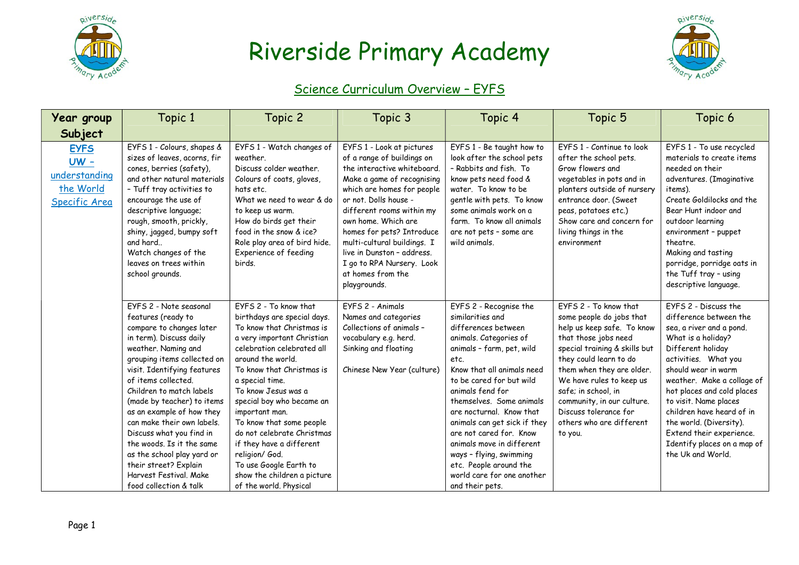



#### Science Curriculum Overview – EYFS

| Year group                                                           | Topic 1                                                                                                                                                                                                                                                                                                                                                                                                                                                                                                  | Topic 2                                                                                                                                                                                                                                                                                                                                                                                                                                                                             | Topic 3                                                                                                                                                                                                                                                                                                                                                                                     | Topic 4                                                                                                                                                                                                                                                                                                                                                                                                                                                              | Topic 5                                                                                                                                                                                                                                                                                                                                          | Topic 6                                                                                                                                                                                                                                                                                                                                                                                           |
|----------------------------------------------------------------------|----------------------------------------------------------------------------------------------------------------------------------------------------------------------------------------------------------------------------------------------------------------------------------------------------------------------------------------------------------------------------------------------------------------------------------------------------------------------------------------------------------|-------------------------------------------------------------------------------------------------------------------------------------------------------------------------------------------------------------------------------------------------------------------------------------------------------------------------------------------------------------------------------------------------------------------------------------------------------------------------------------|---------------------------------------------------------------------------------------------------------------------------------------------------------------------------------------------------------------------------------------------------------------------------------------------------------------------------------------------------------------------------------------------|----------------------------------------------------------------------------------------------------------------------------------------------------------------------------------------------------------------------------------------------------------------------------------------------------------------------------------------------------------------------------------------------------------------------------------------------------------------------|--------------------------------------------------------------------------------------------------------------------------------------------------------------------------------------------------------------------------------------------------------------------------------------------------------------------------------------------------|---------------------------------------------------------------------------------------------------------------------------------------------------------------------------------------------------------------------------------------------------------------------------------------------------------------------------------------------------------------------------------------------------|
| Subject                                                              |                                                                                                                                                                                                                                                                                                                                                                                                                                                                                                          |                                                                                                                                                                                                                                                                                                                                                                                                                                                                                     |                                                                                                                                                                                                                                                                                                                                                                                             |                                                                                                                                                                                                                                                                                                                                                                                                                                                                      |                                                                                                                                                                                                                                                                                                                                                  |                                                                                                                                                                                                                                                                                                                                                                                                   |
| <b>EYFS</b><br>$UW -$<br>understanding<br>the World<br>Specific Area | EYFS 1 - Colours, shapes &<br>sizes of leaves, acorns, fir<br>cones, berries (safety),<br>and other natural materials<br>- Tuff tray activities to<br>encourage the use of<br>descriptive language;<br>rough, smooth, prickly,<br>shiny, jagged, bumpy soft<br>and hard<br>Watch changes of the<br>leaves on trees within<br>school grounds.                                                                                                                                                             | EYFS 1 - Watch changes of<br>weather.<br>Discuss colder weather.<br>Colours of coats, gloves,<br>hats etc.<br>What we need to wear & do<br>to keep us warm.<br>How do birds get their<br>food in the snow & ice?<br>Role play area of bird hide.<br>Experience of feeding<br>birds.                                                                                                                                                                                                 | EYFS 1 - Look at pictures<br>of a range of buildings on<br>the interactive whiteboard.<br>Make a game of recognising<br>which are homes for people<br>or not. Dolls house -<br>different rooms within my<br>own home. Which are<br>homes for pets? Introduce<br>multi-cultural buildings. I<br>live in Dunston - address.<br>I go to RPA Nursery. Look<br>at homes from the<br>playgrounds. | EYFS 1 - Be taught how to<br>look after the school pets<br>- Rabbits and fish. To<br>know pets need food &<br>water. To know to be<br>gentle with pets. To know<br>some animals work on a<br>farm. To know all animals<br>are not pets - some are<br>wild animals.                                                                                                                                                                                                   | EYFS 1 - Continue to look<br>after the school pets.<br>Grow flowers and<br>vegetables in pots and in<br>planters outside of nursery<br>entrance door. (Sweet<br>peas, potatoes etc.)<br>Show care and concern for<br>living things in the<br>environment                                                                                         | EYFS 1 - To use recycled<br>materials to create items<br>needed on their<br>adventures. (Imaginative<br>items).<br>Create Goldilocks and the<br>Bear Hunt indoor and<br>outdoor learning<br>environment - puppet<br>theatre.<br>Making and tasting<br>porridge, porridge oats in<br>the Tuff tray - using<br>descriptive language.                                                                |
|                                                                      | EYFS 2 - Note seasonal<br>features (ready to<br>compare to changes later<br>in term). Discuss daily<br>weather. Naming and<br>grouping items collected on<br>visit. Identifying features<br>of items collected.<br>Children to match labels<br>(made by teacher) to items<br>as an example of how they<br>can make their own labels.<br>Discuss what you find in<br>the woods. Is it the same<br>as the school play yard or<br>their street? Explain<br>Harvest Festival, Make<br>food collection & talk | EYFS 2 - To know that<br>birthdays are special days.<br>To know that Christmas is<br>a very important Christian<br>celebration celebrated all<br>around the world.<br>To know that Christmas is<br>a special time.<br>To know Jesus was a<br>special boy who became an<br>important man.<br>To know that some people<br>do not celebrate Christmas<br>if they have a different<br>religion/ God.<br>To use Google Earth to<br>show the children a picture<br>of the world. Physical | FYFS 2 - Animals<br>Names and categories<br>Collections of animals -<br>vocabulary e.g. herd.<br>Sinking and floating<br>Chinese New Year (culture)                                                                                                                                                                                                                                         | EYFS 2 - Recognise the<br>similarities and<br>differences between<br>animals. Categories of<br>animals - farm, pet, wild<br>etc.<br>Know that all animals need<br>to be cared for but wild<br>animals fend for<br>themselves. Some animals<br>are nocturnal. Know that<br>animals can get sick if they<br>are not cared for. Know<br>animals move in different<br>ways - flying, swimming<br>etc. People around the<br>world care for one another<br>and their pets. | EYFS 2 - To know that<br>some people do jobs that<br>help us keep safe. To know<br>that those jobs need<br>special training & skills but<br>they could learn to do<br>them when they are older.<br>We have rules to keep us<br>safe; in school, in<br>community, in our culture.<br>Discuss tolerance for<br>others who are different<br>to you. | FYFS 2 - Discuss the<br>difference between the<br>sea, a river and a pond.<br>What is a holiday?<br>Different holiday<br>activities. What you<br>should wear in warm<br>weather. Make a collage of<br>hot places and cold places<br>to visit. Name places<br>children have heard of in<br>the world. (Diversity).<br>Extend their experience.<br>Identify places on a map of<br>the Uk and World. |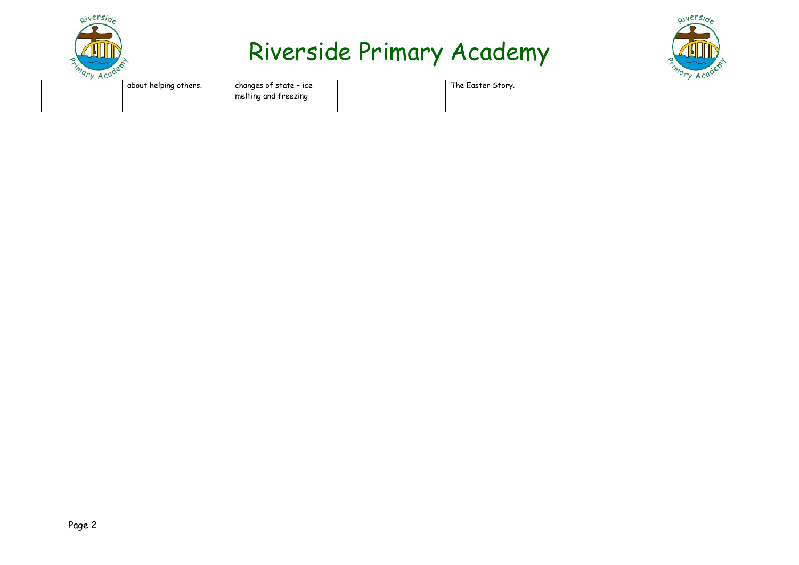



| about helping others. | changes of state – ice | The Easter Story. |  |
|-----------------------|------------------------|-------------------|--|
|                       | melting and freezing   |                   |  |
|                       |                        |                   |  |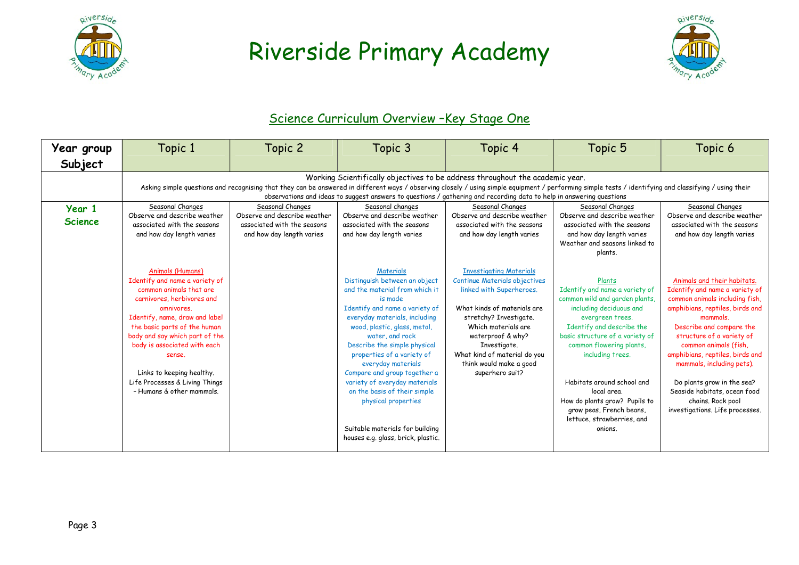



#### Science Curriculum Overview -Key Stage One

| Year group               | Topic 1                                                                                                                                                                                                                                                                                                                                                                                                                                                                                                                                                                                                                                                                                                                                                                                                                                                                                                                           | Topic 2                   | Topic 3                                                                                                                                                                                                                                                                                                                                                                                                                                                                                            | Topic 4                                                                                                                                                                                                                                                                                               | Topic 5                                                                                                                                                                                                                                                                                                                                                                                      | Topic 6                                                                                                                                                                                                                                                                                                                                                                                                                |  |  |  |
|--------------------------|-----------------------------------------------------------------------------------------------------------------------------------------------------------------------------------------------------------------------------------------------------------------------------------------------------------------------------------------------------------------------------------------------------------------------------------------------------------------------------------------------------------------------------------------------------------------------------------------------------------------------------------------------------------------------------------------------------------------------------------------------------------------------------------------------------------------------------------------------------------------------------------------------------------------------------------|---------------------------|----------------------------------------------------------------------------------------------------------------------------------------------------------------------------------------------------------------------------------------------------------------------------------------------------------------------------------------------------------------------------------------------------------------------------------------------------------------------------------------------------|-------------------------------------------------------------------------------------------------------------------------------------------------------------------------------------------------------------------------------------------------------------------------------------------------------|----------------------------------------------------------------------------------------------------------------------------------------------------------------------------------------------------------------------------------------------------------------------------------------------------------------------------------------------------------------------------------------------|------------------------------------------------------------------------------------------------------------------------------------------------------------------------------------------------------------------------------------------------------------------------------------------------------------------------------------------------------------------------------------------------------------------------|--|--|--|
| Subject                  |                                                                                                                                                                                                                                                                                                                                                                                                                                                                                                                                                                                                                                                                                                                                                                                                                                                                                                                                   |                           |                                                                                                                                                                                                                                                                                                                                                                                                                                                                                                    |                                                                                                                                                                                                                                                                                                       |                                                                                                                                                                                                                                                                                                                                                                                              |                                                                                                                                                                                                                                                                                                                                                                                                                        |  |  |  |
| Year 1<br><b>Science</b> | Working Scientifically objectives to be address throughout the academic year.<br>Asking simple questions and recognising that they can be answered in different ways / observing closely / using simple equipment / performing simple tests / identifying and classifying / using their<br>observations and ideas to suggest answers to guestions / gathering and recording data to help in answering questions<br>Seasonal Changes<br>Seasonal Changes<br>Seasonal Changes<br>Seasonal changes<br>Seasonal Changes<br>Seasonal Changes<br>Observe and describe weather<br>Observe and describe weather<br>Observe and describe weather<br>Observe and describe weather<br>Observe and describe weather<br>Observe and describe weather<br>associated with the seasons<br>associated with the seasons<br>associated with the seasons<br>associated with the seasons<br>associated with the seasons<br>associated with the seasons |                           |                                                                                                                                                                                                                                                                                                                                                                                                                                                                                                    |                                                                                                                                                                                                                                                                                                       |                                                                                                                                                                                                                                                                                                                                                                                              |                                                                                                                                                                                                                                                                                                                                                                                                                        |  |  |  |
|                          | and how day length varies                                                                                                                                                                                                                                                                                                                                                                                                                                                                                                                                                                                                                                                                                                                                                                                                                                                                                                         | and how day length varies | and how day length varies                                                                                                                                                                                                                                                                                                                                                                                                                                                                          | and how day length varies                                                                                                                                                                                                                                                                             | and how day length varies<br>Weather and seasons linked to<br>plants.                                                                                                                                                                                                                                                                                                                        | and how day length varies                                                                                                                                                                                                                                                                                                                                                                                              |  |  |  |
|                          | Animals (Humans)<br>Identify and name a variety of<br>common animals that are<br>carnivores, herbivores and<br>omnivores.<br>Identify, name, draw and label<br>the basic parts of the human<br>body and say which part of the<br>body is associated with each<br>sense.<br>Links to keeping healthy.<br>Life Processes & Living Things<br>- Humans & other mammals.                                                                                                                                                                                                                                                                                                                                                                                                                                                                                                                                                               |                           | Materials<br>Distinguish between an object<br>and the material from which it<br>is made<br>Identify and name a variety of<br>everyday materials, including<br>wood, plastic, glass, metal,<br>water, and rock<br>Describe the simple physical<br>properties of a variety of<br>everyday materials<br>Compare and group together a<br>variety of everyday materials<br>on the basis of their simple<br>physical properties<br>Suitable materials for building<br>houses e.g. glass, brick, plastic. | <b>Investigating Materials</b><br><b>Continue Materials objectives</b><br>linked with Superheroes.<br>What kinds of materials are<br>stretchy? Investigate.<br>Which materials are<br>waterproof & why?<br>Investigate.<br>What kind of material do you<br>think would make a good<br>superhero suit? | Plants<br>Identify and name a variety of<br>common wild and garden plants,<br>including deciduous and<br>evergreen trees.<br>Identify and describe the<br>basic structure of a variety of<br>common flowering plants,<br>including trees.<br>Habitats around school and<br>local area.<br>How do plants grow? Pupils to<br>grow peas, French beans,<br>lettuce, strawberries, and<br>onions. | Animals and their habitats.<br>Identify and name a variety of<br>common animals including fish,<br>amphibians, reptiles, birds and<br>mammals.<br>Describe and compare the<br>structure of a variety of<br>common animals (fish,<br>amphibians, reptiles, birds and<br>mammals, including pets).<br>Do plants grow in the sea?<br>Seaside habitats, ocean food<br>chains. Rock pool<br>investigations. Life processes. |  |  |  |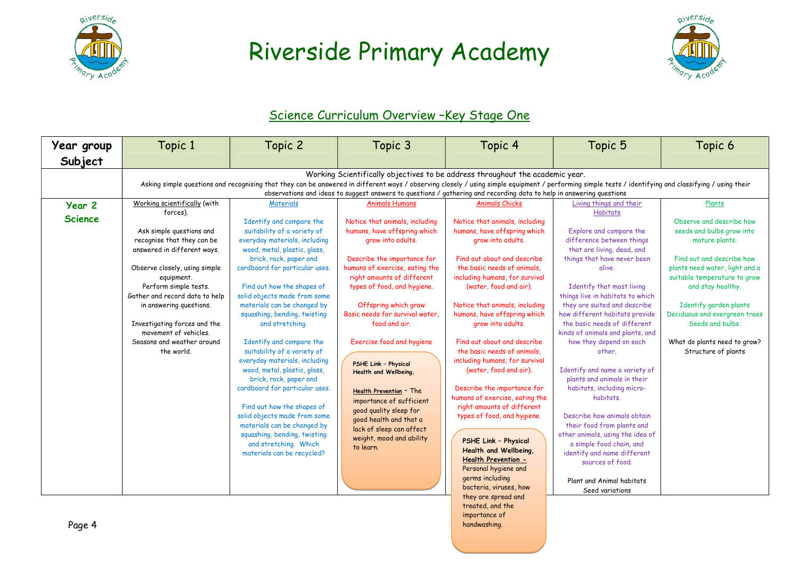



#### Science Curriculum Overview -Key Stage One

| Year group               | Topic 1                                                                                                                                                                                                                                                                                                                                                                                                         | Topic 2                                                                                                                                                                                                                                                                                                                                                                                                                                                                                                                                                                                                                                                                                                                       | Topic 3                                                                                                                                                                                                                                                                                                                                                                                                                                                                                                                                                                              | Topic 4                                                                                                                                                                                                                                                                                                                                                                                                                                                                                                                                                                                                                                                                                                                                                          | Topic 5                                                                                                                                                                                                                                                                                                                                                                                                                                                                                                                                                                                                                                                                                                                                                           | Topic 6                                                                                                                                                                                                                                                                                                                                     |  |  |  |
|--------------------------|-----------------------------------------------------------------------------------------------------------------------------------------------------------------------------------------------------------------------------------------------------------------------------------------------------------------------------------------------------------------------------------------------------------------|-------------------------------------------------------------------------------------------------------------------------------------------------------------------------------------------------------------------------------------------------------------------------------------------------------------------------------------------------------------------------------------------------------------------------------------------------------------------------------------------------------------------------------------------------------------------------------------------------------------------------------------------------------------------------------------------------------------------------------|--------------------------------------------------------------------------------------------------------------------------------------------------------------------------------------------------------------------------------------------------------------------------------------------------------------------------------------------------------------------------------------------------------------------------------------------------------------------------------------------------------------------------------------------------------------------------------------|------------------------------------------------------------------------------------------------------------------------------------------------------------------------------------------------------------------------------------------------------------------------------------------------------------------------------------------------------------------------------------------------------------------------------------------------------------------------------------------------------------------------------------------------------------------------------------------------------------------------------------------------------------------------------------------------------------------------------------------------------------------|-------------------------------------------------------------------------------------------------------------------------------------------------------------------------------------------------------------------------------------------------------------------------------------------------------------------------------------------------------------------------------------------------------------------------------------------------------------------------------------------------------------------------------------------------------------------------------------------------------------------------------------------------------------------------------------------------------------------------------------------------------------------|---------------------------------------------------------------------------------------------------------------------------------------------------------------------------------------------------------------------------------------------------------------------------------------------------------------------------------------------|--|--|--|
| Subject                  |                                                                                                                                                                                                                                                                                                                                                                                                                 |                                                                                                                                                                                                                                                                                                                                                                                                                                                                                                                                                                                                                                                                                                                               |                                                                                                                                                                                                                                                                                                                                                                                                                                                                                                                                                                                      |                                                                                                                                                                                                                                                                                                                                                                                                                                                                                                                                                                                                                                                                                                                                                                  |                                                                                                                                                                                                                                                                                                                                                                                                                                                                                                                                                                                                                                                                                                                                                                   |                                                                                                                                                                                                                                                                                                                                             |  |  |  |
|                          | Working Scientifically objectives to be address throughout the academic year.<br>Asking simple questions and recognising that they can be answered in different ways / observing closely / using simple equipment / performing simple tests / identifying and classifying / using their<br>observations and ideas to suggest answers to questions / gathering and recording data to help in answering questions |                                                                                                                                                                                                                                                                                                                                                                                                                                                                                                                                                                                                                                                                                                                               |                                                                                                                                                                                                                                                                                                                                                                                                                                                                                                                                                                                      |                                                                                                                                                                                                                                                                                                                                                                                                                                                                                                                                                                                                                                                                                                                                                                  |                                                                                                                                                                                                                                                                                                                                                                                                                                                                                                                                                                                                                                                                                                                                                                   |                                                                                                                                                                                                                                                                                                                                             |  |  |  |
| Year 2<br><b>Science</b> | Working scientifically (with<br>forces).<br>Ask simple questions and<br>recognise that they can be<br>answered in different ways.<br>Observe closely, using simple<br>equipment.<br>Perform simple tests.<br>Gather and record data to help<br>in answering questions.<br>Investigating forces and the<br>movement of vehicles.<br>Seasons and weather around<br>the world.                                     | Materials<br>Identify and compare the<br>suitability of a variety of<br>everyday materials, including<br>wood, metal, plastic, glass,<br>brick, rock, paper and<br>cardboard for particular uses.<br>Find out how the shapes of<br>solid objects made from some<br>materials can be changed by<br>squashing, bending, twisting<br>and stretching.<br>Identify and compare the<br>suitability of a variety of<br>everyday materials, including<br>wood, metal, plastic, glass,<br>brick, rock, paper and<br>cardboard for particular uses.<br>Find out how the shapes of<br>solid objects made from some<br>materials can be changed by<br>squashing, bending, twisting<br>and stretching. Which<br>materials can be recycled? | Animals Humans<br>Notice that animals, including<br>humans, have offspring which<br>grow into adults.<br>Describe the importance for<br>humans of exercise, eating the<br>right amounts of different<br>types of food, and hygiene.<br>Offspring which grow<br>Basic needs for survival water.<br>food and air.<br>Exercise food and hygiene<br><b>PSHE Link - Physical</b><br>Health and Wellbeing,<br>Health Prevention - The<br>importance of sufficient<br>good quality sleep for<br>good health and that a<br>lack of sleep can affect<br>weight, mood and ability<br>to learn. | Animals Chicks<br>Notice that animals, including<br>humans, have offspring which<br>grow into adults.<br>Find out about and describe<br>the basic needs of animals.<br>including humans, for survival<br>(water, food and air).<br>Notice that animals, including<br>humans, have offspring which<br>grow into adults.<br>Find out about and describe<br>the basic needs of animals.<br>including humans, for survival<br>(water, food and air).<br>Describe the importance for<br>humans of exercise, eating the<br>right amounts of different<br>types of food, and hygiene.<br><b>PSHE Link - Physical</b><br>Health and Wellbeing,<br><b>Health Prevention -</b><br>Personal hygiene and<br>germs including<br>bacteria, viruses, how<br>they are spread and | Living things and their<br><b>Habitats</b><br>Explore and compare the<br>difference between things<br>that are living, dead, and<br>things that have never been<br>alive.<br>Identify that most living<br>things live in habitats to which<br>they are suited and describe<br>how different habitats provide<br>the basic needs of different<br>kinds of animals and plants, and<br>how they depend on each<br>other.<br>Identify and name a variety of<br>plants and animals in their<br>habitats, including micro-<br>habitats.<br>Describe how animals obtain<br>their food from plants and<br>other animals, using the idea of<br>a simple food chain, and<br>identify and name different<br>sources of food.<br>Plant and Animal habitats<br>Seed variations | Plants<br>Observe and describe how<br>seeds and bulbs grow into<br>mature plants.<br>Find out and describe how<br>plants need water, light and a<br>suitable temperature to grow<br>and stay healthy.<br>Identify garden plants<br>Deciduous and evergreen trees<br>Seeds and bulbs.<br>What do plants need to grow?<br>Structure of plants |  |  |  |
|                          |                                                                                                                                                                                                                                                                                                                                                                                                                 |                                                                                                                                                                                                                                                                                                                                                                                                                                                                                                                                                                                                                                                                                                                               |                                                                                                                                                                                                                                                                                                                                                                                                                                                                                                                                                                                      | treated, and the<br>importance of                                                                                                                                                                                                                                                                                                                                                                                                                                                                                                                                                                                                                                                                                                                                |                                                                                                                                                                                                                                                                                                                                                                                                                                                                                                                                                                                                                                                                                                                                                                   |                                                                                                                                                                                                                                                                                                                                             |  |  |  |

handwashing.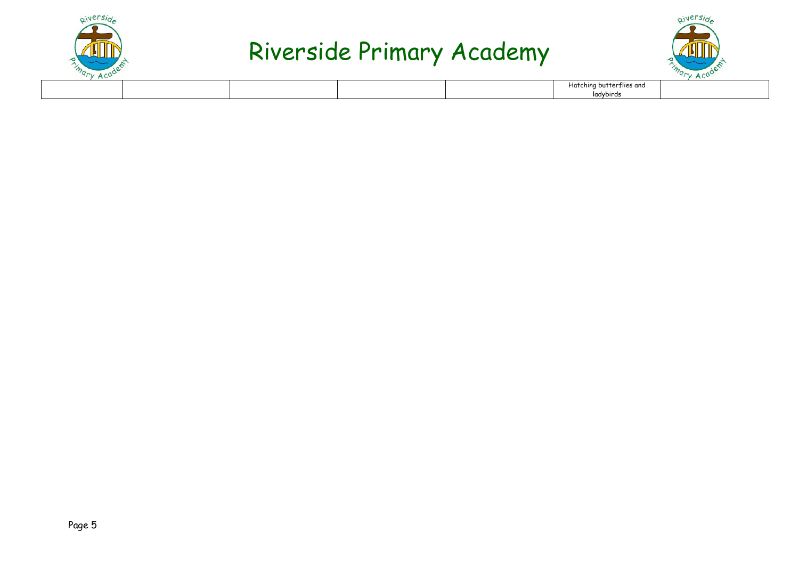



| $\sim$<br>AC |  |  |                          |  |
|--------------|--|--|--------------------------|--|
|              |  |  | Hatching butterflies and |  |
|              |  |  | ladybirds                |  |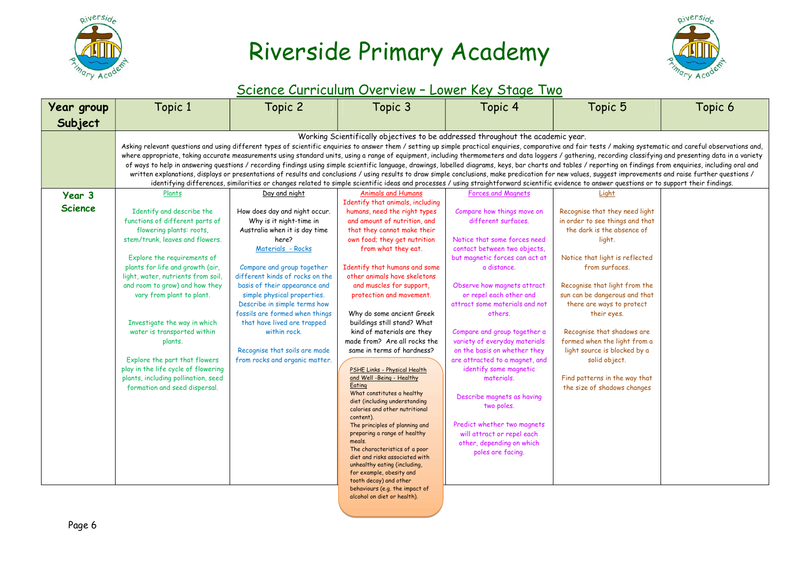



#### Science Curriculum Overview – Lower Key Stage Two

| <b>Year group</b> | Topic 1                                                                                                                                                                                                                                                                                                                                                                                                                           | Topic 2                                                                                                                                                                                         | Topic 3                                                                         | Topic 4                                                   | Topic 5                                                                                                                                                                                                           | Topic 6 |  |  |  |  |  |
|-------------------|-----------------------------------------------------------------------------------------------------------------------------------------------------------------------------------------------------------------------------------------------------------------------------------------------------------------------------------------------------------------------------------------------------------------------------------|-------------------------------------------------------------------------------------------------------------------------------------------------------------------------------------------------|---------------------------------------------------------------------------------|-----------------------------------------------------------|-------------------------------------------------------------------------------------------------------------------------------------------------------------------------------------------------------------------|---------|--|--|--|--|--|
| Subject           |                                                                                                                                                                                                                                                                                                                                                                                                                                   |                                                                                                                                                                                                 |                                                                                 |                                                           |                                                                                                                                                                                                                   |         |  |  |  |  |  |
|                   |                                                                                                                                                                                                                                                                                                                                                                                                                                   |                                                                                                                                                                                                 | Working Scientifically objectives to be addressed throughout the academic year. |                                                           |                                                                                                                                                                                                                   |         |  |  |  |  |  |
|                   | Asking relevant questions and using different types of scientific enquiries to answer them / setting up simple practical enquiries, comparative and fair tests / making systematic and careful observations and,<br>where appropriate, taking accurate measurements using standard units, using a range of equipment, including thermometers and data loggers / gathering, recording classifying and presenting data in a variety |                                                                                                                                                                                                 |                                                                                 |                                                           |                                                                                                                                                                                                                   |         |  |  |  |  |  |
|                   |                                                                                                                                                                                                                                                                                                                                                                                                                                   |                                                                                                                                                                                                 |                                                                                 |                                                           | of ways to help in answering questions / recording findings using simple scientific language, drawings, labelled diagrams, keys, bar charts and tables / reporting on findings from enquiries, including oral and |         |  |  |  |  |  |
|                   |                                                                                                                                                                                                                                                                                                                                                                                                                                   |                                                                                                                                                                                                 |                                                                                 |                                                           | written explanations, displays or presentations of results and conclusions / using results to draw simple conclusions, make predication for new values, suggest improvements and raise further questions /        |         |  |  |  |  |  |
|                   |                                                                                                                                                                                                                                                                                                                                                                                                                                   | identifying differences, similarities or changes related to simple scientific ideas and processes / using straightforward scientific evidence to answer questions or to support their findings. |                                                                                 |                                                           |                                                                                                                                                                                                                   |         |  |  |  |  |  |
| Year 3            | Plants                                                                                                                                                                                                                                                                                                                                                                                                                            | Day and night                                                                                                                                                                                   | <b>Animals and Humans</b>                                                       | <b>Forces and Magnets</b>                                 | Light                                                                                                                                                                                                             |         |  |  |  |  |  |
| <b>Science</b>    | Identify and describe the                                                                                                                                                                                                                                                                                                                                                                                                         | How does day and night occur.                                                                                                                                                                   | Identify that animals, including<br>humans, need the right types                | Compare how things move on                                | Recognise that they need light                                                                                                                                                                                    |         |  |  |  |  |  |
|                   | functions of different parts of                                                                                                                                                                                                                                                                                                                                                                                                   | Why is it night-time in                                                                                                                                                                         | and amount of nutrition, and                                                    | different surfaces.                                       | in order to see things and that                                                                                                                                                                                   |         |  |  |  |  |  |
|                   | flowering plants: roots,                                                                                                                                                                                                                                                                                                                                                                                                          | Australia when it is day time                                                                                                                                                                   | that they cannot make their                                                     |                                                           | the dark is the absence of                                                                                                                                                                                        |         |  |  |  |  |  |
|                   | stem/trunk, leaves and flowers.                                                                                                                                                                                                                                                                                                                                                                                                   | here?                                                                                                                                                                                           | own food; they get nutrition                                                    | Notice that some forces need                              | light.                                                                                                                                                                                                            |         |  |  |  |  |  |
|                   |                                                                                                                                                                                                                                                                                                                                                                                                                                   | Materials - Rocks                                                                                                                                                                               | from what they eat.                                                             | contact between two objects,                              |                                                                                                                                                                                                                   |         |  |  |  |  |  |
|                   | Explore the requirements of                                                                                                                                                                                                                                                                                                                                                                                                       |                                                                                                                                                                                                 |                                                                                 | but magnetic forces can act at                            | Notice that light is reflected                                                                                                                                                                                    |         |  |  |  |  |  |
|                   | plants for life and growth (air,                                                                                                                                                                                                                                                                                                                                                                                                  | Compare and group together                                                                                                                                                                      | Identify that humans and some                                                   | a distance.                                               | from surfaces.                                                                                                                                                                                                    |         |  |  |  |  |  |
|                   | light, water, nutrients from soil,                                                                                                                                                                                                                                                                                                                                                                                                | different kinds of rocks on the                                                                                                                                                                 | other animals have skeletons                                                    |                                                           |                                                                                                                                                                                                                   |         |  |  |  |  |  |
|                   | and room to grow) and how they                                                                                                                                                                                                                                                                                                                                                                                                    | basis of their appearance and                                                                                                                                                                   | and muscles for support,                                                        | Observe how magnets attract                               | Recognise that light from the                                                                                                                                                                                     |         |  |  |  |  |  |
|                   | vary from plant to plant.                                                                                                                                                                                                                                                                                                                                                                                                         | simple physical properties.<br>Describe in simple terms how                                                                                                                                     | protection and movement.                                                        | or repel each other and<br>attract some materials and not | sun can be dangerous and that<br>there are ways to protect                                                                                                                                                        |         |  |  |  |  |  |
|                   |                                                                                                                                                                                                                                                                                                                                                                                                                                   | fossils are formed when things                                                                                                                                                                  | Why do some ancient Greek                                                       | others.                                                   | their eyes.                                                                                                                                                                                                       |         |  |  |  |  |  |
|                   | Investigate the way in which                                                                                                                                                                                                                                                                                                                                                                                                      | that have lived are trapped                                                                                                                                                                     | buildings still stand? What                                                     |                                                           |                                                                                                                                                                                                                   |         |  |  |  |  |  |
|                   | water is transported within                                                                                                                                                                                                                                                                                                                                                                                                       | within rock.                                                                                                                                                                                    | kind of materials are they                                                      | Compare and group together a                              | Recognise that shadows are                                                                                                                                                                                        |         |  |  |  |  |  |
|                   | plants.                                                                                                                                                                                                                                                                                                                                                                                                                           |                                                                                                                                                                                                 | made from? Are all rocks the                                                    | variety of everyday materials                             | formed when the light from a                                                                                                                                                                                      |         |  |  |  |  |  |
|                   |                                                                                                                                                                                                                                                                                                                                                                                                                                   | Recognise that soils are made                                                                                                                                                                   | same in terms of hardness?                                                      | on the basis on whether they                              | light source is blocked by a                                                                                                                                                                                      |         |  |  |  |  |  |
|                   | Explore the part that flowers                                                                                                                                                                                                                                                                                                                                                                                                     | from rocks and organic matter.                                                                                                                                                                  |                                                                                 | are attracted to a magnet, and                            | solid object.                                                                                                                                                                                                     |         |  |  |  |  |  |
|                   | play in the life cycle of flowering<br>plants, including pollination, seed                                                                                                                                                                                                                                                                                                                                                        |                                                                                                                                                                                                 | PSHE Links - Physical Health<br>and Well -Being - Healthy                       | identify some magnetic<br>materials.                      |                                                                                                                                                                                                                   |         |  |  |  |  |  |
|                   | formation and seed dispersal.                                                                                                                                                                                                                                                                                                                                                                                                     |                                                                                                                                                                                                 | Eating                                                                          |                                                           | Find patterns in the way that<br>the size of shadows changes                                                                                                                                                      |         |  |  |  |  |  |
|                   |                                                                                                                                                                                                                                                                                                                                                                                                                                   |                                                                                                                                                                                                 | What constitutes a healthy                                                      | Describe magnets as having                                |                                                                                                                                                                                                                   |         |  |  |  |  |  |
|                   |                                                                                                                                                                                                                                                                                                                                                                                                                                   |                                                                                                                                                                                                 | diet (including understanding<br>calories and other nutritional                 | two poles.                                                |                                                                                                                                                                                                                   |         |  |  |  |  |  |
|                   |                                                                                                                                                                                                                                                                                                                                                                                                                                   |                                                                                                                                                                                                 | content).                                                                       |                                                           |                                                                                                                                                                                                                   |         |  |  |  |  |  |
|                   |                                                                                                                                                                                                                                                                                                                                                                                                                                   |                                                                                                                                                                                                 | The principles of planning and                                                  | Predict whether two magnets                               |                                                                                                                                                                                                                   |         |  |  |  |  |  |
|                   |                                                                                                                                                                                                                                                                                                                                                                                                                                   |                                                                                                                                                                                                 | preparing a range of healthy<br>meals.                                          | will attract or repel each                                |                                                                                                                                                                                                                   |         |  |  |  |  |  |
|                   |                                                                                                                                                                                                                                                                                                                                                                                                                                   |                                                                                                                                                                                                 | The characteristics of a poor                                                   | other, depending on which                                 |                                                                                                                                                                                                                   |         |  |  |  |  |  |
|                   |                                                                                                                                                                                                                                                                                                                                                                                                                                   |                                                                                                                                                                                                 | diet and risks associated with                                                  | poles are facing.                                         |                                                                                                                                                                                                                   |         |  |  |  |  |  |
|                   |                                                                                                                                                                                                                                                                                                                                                                                                                                   |                                                                                                                                                                                                 | unhealthy eating (including,                                                    |                                                           |                                                                                                                                                                                                                   |         |  |  |  |  |  |
|                   |                                                                                                                                                                                                                                                                                                                                                                                                                                   |                                                                                                                                                                                                 | for example, obesity and<br>tooth decay) and other                              |                                                           |                                                                                                                                                                                                                   |         |  |  |  |  |  |
|                   |                                                                                                                                                                                                                                                                                                                                                                                                                                   |                                                                                                                                                                                                 | behaviours (e.g. the impact of                                                  |                                                           |                                                                                                                                                                                                                   |         |  |  |  |  |  |

alcohol on diet or health).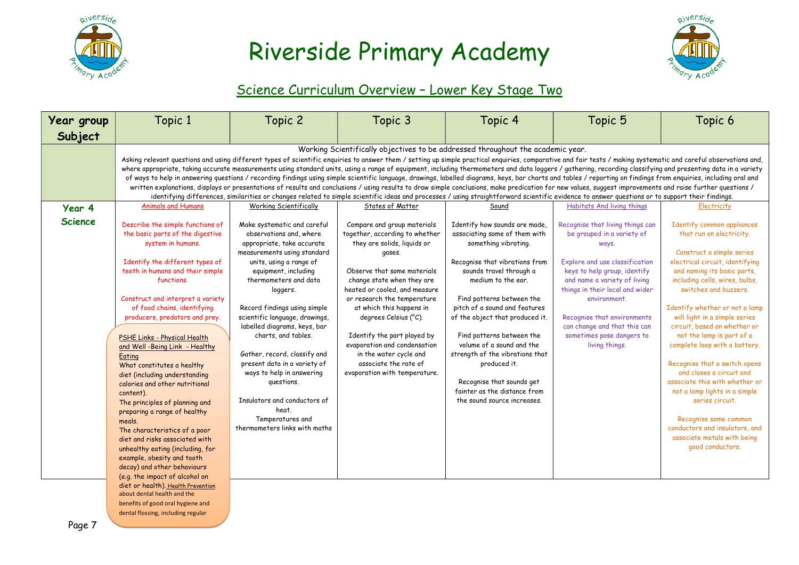



#### Science Curriculum Overview – Lower Key Stage Two

| Year group     | Topic 1                                                                                                                                                                                                                                                                                                                                                                                                                                                                                                                                                                                                                                                                                                                                                                                                                                                                                                                                                                                                                                                                                                                                                    | Topic 2                                                                                                                                                                                                                                                                                                                                                                                                                                                                                                                                       | Topic 3                                                                                                                                                                                                                                                                                                                                                                                                                                     | Topic 4                                                                                                                                                                                                                                                                                                                                                                                                                                                                             | Topic 5                                                                                                                                                                                                                                                                                                                                    | Topic 6                                                                                                                                                                                                                                                                                                                                                                                                                                                                                                                                                                                                                                            |  |  |  |  |
|----------------|------------------------------------------------------------------------------------------------------------------------------------------------------------------------------------------------------------------------------------------------------------------------------------------------------------------------------------------------------------------------------------------------------------------------------------------------------------------------------------------------------------------------------------------------------------------------------------------------------------------------------------------------------------------------------------------------------------------------------------------------------------------------------------------------------------------------------------------------------------------------------------------------------------------------------------------------------------------------------------------------------------------------------------------------------------------------------------------------------------------------------------------------------------|-----------------------------------------------------------------------------------------------------------------------------------------------------------------------------------------------------------------------------------------------------------------------------------------------------------------------------------------------------------------------------------------------------------------------------------------------------------------------------------------------------------------------------------------------|---------------------------------------------------------------------------------------------------------------------------------------------------------------------------------------------------------------------------------------------------------------------------------------------------------------------------------------------------------------------------------------------------------------------------------------------|-------------------------------------------------------------------------------------------------------------------------------------------------------------------------------------------------------------------------------------------------------------------------------------------------------------------------------------------------------------------------------------------------------------------------------------------------------------------------------------|--------------------------------------------------------------------------------------------------------------------------------------------------------------------------------------------------------------------------------------------------------------------------------------------------------------------------------------------|----------------------------------------------------------------------------------------------------------------------------------------------------------------------------------------------------------------------------------------------------------------------------------------------------------------------------------------------------------------------------------------------------------------------------------------------------------------------------------------------------------------------------------------------------------------------------------------------------------------------------------------------------|--|--|--|--|
| Subject        |                                                                                                                                                                                                                                                                                                                                                                                                                                                                                                                                                                                                                                                                                                                                                                                                                                                                                                                                                                                                                                                                                                                                                            |                                                                                                                                                                                                                                                                                                                                                                                                                                                                                                                                               |                                                                                                                                                                                                                                                                                                                                                                                                                                             |                                                                                                                                                                                                                                                                                                                                                                                                                                                                                     |                                                                                                                                                                                                                                                                                                                                            |                                                                                                                                                                                                                                                                                                                                                                                                                                                                                                                                                                                                                                                    |  |  |  |  |
|                | Working Scientifically objectives to be addressed throughout the academic year.<br>Asking relevant questions and using different types of scientific enquiries to answer them / setting up simple practical enquiries, comparative and fair tests / making systematic and careful observations and,<br>where appropriate, taking accurate measurements using standard units, using a range of equipment, including thermometers and data loggers / gathering, recording classifying and presenting data in a variety<br>of ways to help in answering questions / recording findings using simple scientific language, drawings, labelled diagrams, keys, bar charts and tables / reporting on findings from enquiries, including oral and<br>written explanations, displays or presentations of results and conclusions / using results to draw simple conclusions, make predication for new values, suggest improvements and raise further questions /<br>identifying differences, similarities or changes related to simple scientific ideas and processes / using straightforward scientific evidence to answer questions or to support their findings. |                                                                                                                                                                                                                                                                                                                                                                                                                                                                                                                                               |                                                                                                                                                                                                                                                                                                                                                                                                                                             |                                                                                                                                                                                                                                                                                                                                                                                                                                                                                     |                                                                                                                                                                                                                                                                                                                                            |                                                                                                                                                                                                                                                                                                                                                                                                                                                                                                                                                                                                                                                    |  |  |  |  |
| Year 4         | <b>Animals and Humans</b>                                                                                                                                                                                                                                                                                                                                                                                                                                                                                                                                                                                                                                                                                                                                                                                                                                                                                                                                                                                                                                                                                                                                  | <b>Working Scientifically</b>                                                                                                                                                                                                                                                                                                                                                                                                                                                                                                                 | States of Matter                                                                                                                                                                                                                                                                                                                                                                                                                            | Sound                                                                                                                                                                                                                                                                                                                                                                                                                                                                               | Habitats And living things                                                                                                                                                                                                                                                                                                                 | Electricity                                                                                                                                                                                                                                                                                                                                                                                                                                                                                                                                                                                                                                        |  |  |  |  |
| <b>Science</b> | Describe the simple functions of<br>the basic parts of the digestive<br>system in humans.<br>Identify the different types of<br>teeth in humans and their simple<br>functions.<br>Construct and interpret a variety<br>of food chains, identifying<br>producers, predators and prey.<br>PSHE Links - Physical Health<br>and Well -Being Link - Healthy<br>Eating<br>What constitutes a healthy<br>diet (including understanding<br>calories and other nutritional<br>content).<br>The principles of planning and<br>preparing a range of healthy<br>meals.<br>The characteristics of a poor<br>diet and risks associated with<br>unhealthy eating (including, for<br>example, obesity and tooth<br>decay) and other behaviours<br>(e.g. the impact of alcohol on<br>diet or health). Health Prevention                                                                                                                                                                                                                                                                                                                                                     | Make systematic and careful<br>observations and, where<br>appropriate, take accurate<br>measurements using standard<br>units, using a range of<br>equipment, including<br>thermometers and data<br>loggers.<br>Record findings using simple<br>scientific language, drawings,<br>labelled diagrams, keys, bar<br>charts, and tables.<br>Gather, record, classify and<br>present data in a variety of<br>ways to help in answering<br>questions.<br>Insulators and conductors of<br>heat.<br>Temperatures and<br>thermometers links with maths | Compare and group materials<br>together, according to whether<br>they are solids, liquids or<br>gases.<br>Observe that some materials<br>change state when they are<br>heated or cooled, and measure<br>or research the temperature<br>at which this happens in<br>degrees Celsius (°C).<br>Identify the part played by<br>evaporation and condensation<br>in the water cycle and<br>associate the rate of<br>evaporation with temperature. | Identify how sounds are made,<br>associating some of them with<br>something vibrating.<br>Recognise that vibrations from<br>sounds travel through a<br>medium to the ear.<br>Find patterns between the<br>pitch of a sound and features<br>of the object that produced it.<br>Find patterns between the<br>volume of a sound and the<br>strength of the vibrations that<br>produced it.<br>Recognise that sounds get<br>fainter as the distance from<br>the sound source increases. | Recognise that living things can<br>be grouped in a variety of<br>ways.<br>Explore and use classification<br>keys to help group, identify<br>and name a variety of living<br>things in their local and wider<br>environment.<br>Recognise that environments<br>can change and that this can<br>sometimes pose dangers to<br>living things. | Identify common appliances<br>that run on electricity.<br>Construct a simple series<br>electrical circuit, identifying<br>and naming its basic parts,<br>including cells, wires, bulbs,<br>switches and buzzers.<br>Identify whether or not a lamp<br>will light in a simple series<br>circuit, based on whether or<br>not the lamp is part of a<br>complete loop with a battery.<br>Recognise that a switch opens<br>and closes a circuit and<br>associate this with whether or<br>not a lamp lights in a simple<br>series circuit.<br>Recognise some common<br>conductors and insulators, and<br>associate metals with being<br>good conductors. |  |  |  |  |
|                | about dental health and the<br>benefits of good oral hygiene and                                                                                                                                                                                                                                                                                                                                                                                                                                                                                                                                                                                                                                                                                                                                                                                                                                                                                                                                                                                                                                                                                           |                                                                                                                                                                                                                                                                                                                                                                                                                                                                                                                                               |                                                                                                                                                                                                                                                                                                                                                                                                                                             |                                                                                                                                                                                                                                                                                                                                                                                                                                                                                     |                                                                                                                                                                                                                                                                                                                                            |                                                                                                                                                                                                                                                                                                                                                                                                                                                                                                                                                                                                                                                    |  |  |  |  |

dental flossing, including regular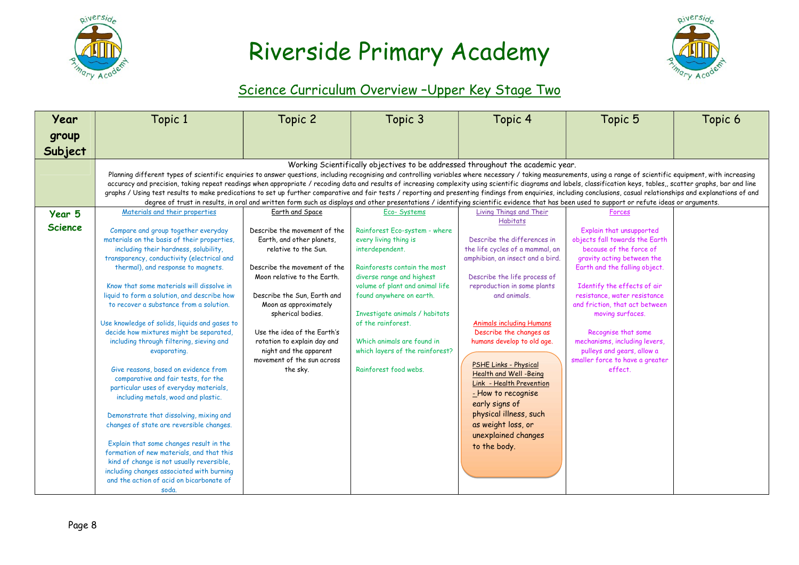



#### Science Curriculum Overview –Upper Key Stage Two

| Year           | Topic 1                                                                                                                                                                                                                                                                                                                                                                                                                                        | Topic 2                                                    | Topic 3                                                                                                                                                                                     | Topic 4                                               | Topic 5                                              | Topic 6 |
|----------------|------------------------------------------------------------------------------------------------------------------------------------------------------------------------------------------------------------------------------------------------------------------------------------------------------------------------------------------------------------------------------------------------------------------------------------------------|------------------------------------------------------------|---------------------------------------------------------------------------------------------------------------------------------------------------------------------------------------------|-------------------------------------------------------|------------------------------------------------------|---------|
| group          |                                                                                                                                                                                                                                                                                                                                                                                                                                                |                                                            |                                                                                                                                                                                             |                                                       |                                                      |         |
|                |                                                                                                                                                                                                                                                                                                                                                                                                                                                |                                                            |                                                                                                                                                                                             |                                                       |                                                      |         |
| Subject        |                                                                                                                                                                                                                                                                                                                                                                                                                                                |                                                            |                                                                                                                                                                                             |                                                       |                                                      |         |
|                |                                                                                                                                                                                                                                                                                                                                                                                                                                                |                                                            | Working Scientifically objectives to be addressed throughout the academic year.                                                                                                             |                                                       |                                                      |         |
|                | Planning different types of scientific enquiries to answer questions, including recognising and controlling variables where necessary / taking measurements, using a range of scientific equipment, with increasing                                                                                                                                                                                                                            |                                                            |                                                                                                                                                                                             |                                                       |                                                      |         |
|                | accuracy and precision, taking repeat readings when appropriate / recoding data and results of increasing complexity using scientific diagrams and labels, classification keys, tables,, scatter graphs, bar and line<br>graphs / Using test results to make predications to set up further comparative and fair tests / reporting and presenting findings from enquiries, including conclusions, casual relationships and explanations of and |                                                            |                                                                                                                                                                                             |                                                       |                                                      |         |
|                |                                                                                                                                                                                                                                                                                                                                                                                                                                                |                                                            | degree of trust in results, in oral and written form such as displays and other presentations / identifying scientific evidence that has been used to support or refute ideas or arguments. |                                                       |                                                      |         |
| Year 5         | Materials and their properties                                                                                                                                                                                                                                                                                                                                                                                                                 | Earth and Space                                            | Eco-Systems                                                                                                                                                                                 | Living Things and Their                               | Forces                                               |         |
|                |                                                                                                                                                                                                                                                                                                                                                                                                                                                |                                                            |                                                                                                                                                                                             | <b>Habitats</b>                                       |                                                      |         |
| <b>Science</b> | Compare and group together everyday                                                                                                                                                                                                                                                                                                                                                                                                            | Describe the movement of the                               | Rainforest Eco-system - where                                                                                                                                                               |                                                       | Explain that unsupported                             |         |
|                | materials on the basis of their properties,                                                                                                                                                                                                                                                                                                                                                                                                    | Earth, and other planets,                                  | every living thing is                                                                                                                                                                       | Describe the differences in                           | objects fall towards the Earth                       |         |
|                | including their hardness, solubility,                                                                                                                                                                                                                                                                                                                                                                                                          | relative to the Sun.                                       | interdependent.                                                                                                                                                                             | the life cycles of a mammal, an                       | because of the force of                              |         |
|                | transparency, conductivity (electrical and                                                                                                                                                                                                                                                                                                                                                                                                     |                                                            |                                                                                                                                                                                             | amphibian, an insect and a bird.                      | gravity acting between the                           |         |
|                | thermal), and response to magnets.                                                                                                                                                                                                                                                                                                                                                                                                             | Describe the movement of the                               | Rainforests contain the most                                                                                                                                                                |                                                       | Earth and the falling object.                        |         |
|                |                                                                                                                                                                                                                                                                                                                                                                                                                                                | Moon relative to the Earth.                                | diverse range and highest                                                                                                                                                                   | Describe the life process of                          |                                                      |         |
|                | Know that some materials will dissolve in                                                                                                                                                                                                                                                                                                                                                                                                      |                                                            | volume of plant and animal life                                                                                                                                                             | reproduction in some plants                           | Identify the effects of air                          |         |
|                | liquid to form a solution, and describe how                                                                                                                                                                                                                                                                                                                                                                                                    | Describe the Sun, Earth and                                | found anywhere on earth.                                                                                                                                                                    | and animals.                                          | resistance, water resistance                         |         |
|                | to recover a substance from a solution.                                                                                                                                                                                                                                                                                                                                                                                                        | Moon as approximately                                      |                                                                                                                                                                                             |                                                       | and friction, that act between                       |         |
|                |                                                                                                                                                                                                                                                                                                                                                                                                                                                | spherical bodies.                                          | Investigate animals / habitats                                                                                                                                                              |                                                       | moving surfaces.                                     |         |
|                | Use knowledge of solids, liquids and gases to                                                                                                                                                                                                                                                                                                                                                                                                  |                                                            | of the rainforest.                                                                                                                                                                          | <b>Animals including Humans</b>                       |                                                      |         |
|                | decide how mixtures might be separated,                                                                                                                                                                                                                                                                                                                                                                                                        | Use the idea of the Earth's<br>rotation to explain day and | Which animals are found in                                                                                                                                                                  | Describe the changes as<br>humans develop to old age. | Recognise that some<br>mechanisms, including levers, |         |
|                | including through filtering, sieving and<br>evaporating.                                                                                                                                                                                                                                                                                                                                                                                       | night and the apparent                                     | which layers of the rainforest?                                                                                                                                                             |                                                       | pulleys and gears, allow a                           |         |
|                |                                                                                                                                                                                                                                                                                                                                                                                                                                                | movement of the sun across                                 |                                                                                                                                                                                             |                                                       | smaller force to have a greater                      |         |
|                | Give reasons, based on evidence from                                                                                                                                                                                                                                                                                                                                                                                                           | the sky.                                                   | Rainforest food webs.                                                                                                                                                                       | PSHE Links - Physical                                 | effect.                                              |         |
|                | comparative and fair tests, for the                                                                                                                                                                                                                                                                                                                                                                                                            |                                                            |                                                                                                                                                                                             | Health and Well -Being                                |                                                      |         |
|                | particular uses of everyday materials,                                                                                                                                                                                                                                                                                                                                                                                                         |                                                            |                                                                                                                                                                                             | Link - Health Prevention                              |                                                      |         |
|                | including metals, wood and plastic.                                                                                                                                                                                                                                                                                                                                                                                                            |                                                            |                                                                                                                                                                                             | - How to recognise                                    |                                                      |         |
|                |                                                                                                                                                                                                                                                                                                                                                                                                                                                |                                                            |                                                                                                                                                                                             | early signs of                                        |                                                      |         |
|                | Demonstrate that dissolving, mixing and                                                                                                                                                                                                                                                                                                                                                                                                        |                                                            |                                                                                                                                                                                             | physical illness, such                                |                                                      |         |
|                | changes of state are reversible changes.                                                                                                                                                                                                                                                                                                                                                                                                       |                                                            |                                                                                                                                                                                             | as weight loss, or                                    |                                                      |         |
|                |                                                                                                                                                                                                                                                                                                                                                                                                                                                |                                                            |                                                                                                                                                                                             | unexplained changes                                   |                                                      |         |
|                | Explain that some changes result in the                                                                                                                                                                                                                                                                                                                                                                                                        |                                                            |                                                                                                                                                                                             | to the body.                                          |                                                      |         |
|                | formation of new materials, and that this                                                                                                                                                                                                                                                                                                                                                                                                      |                                                            |                                                                                                                                                                                             |                                                       |                                                      |         |
|                | kind of change is not usually reversible,                                                                                                                                                                                                                                                                                                                                                                                                      |                                                            |                                                                                                                                                                                             |                                                       |                                                      |         |
|                | including changes associated with burning                                                                                                                                                                                                                                                                                                                                                                                                      |                                                            |                                                                                                                                                                                             |                                                       |                                                      |         |
|                | and the action of acid on bicarbonate of                                                                                                                                                                                                                                                                                                                                                                                                       |                                                            |                                                                                                                                                                                             |                                                       |                                                      |         |
|                | soda.                                                                                                                                                                                                                                                                                                                                                                                                                                          |                                                            |                                                                                                                                                                                             |                                                       |                                                      |         |